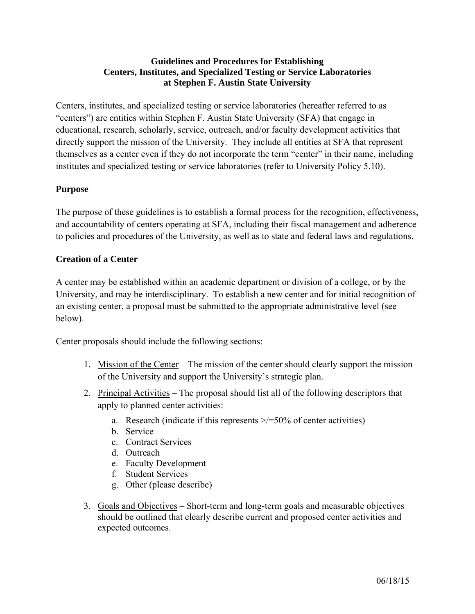# **Guidelines and Procedures for Establishing Centers, Institutes, and Specialized Testing or Service Laboratories at Stephen F. Austin State University**

Centers, institutes, and specialized testing or service laboratories (hereafter referred to as "centers") are entities within Stephen F. Austin State University (SFA) that engage in educational, research, scholarly, service, outreach, and/or faculty development activities that directly support the mission of the University. They include all entities at SFA that represent themselves as a center even if they do not incorporate the term "center" in their name, including institutes and specialized testing or service laboratories (refer to University Policy 5.10).

# **Purpose**

The purpose of these guidelines is to establish a formal process for the recognition, effectiveness, and accountability of centers operating at SFA, including their fiscal management and adherence to policies and procedures of the University, as well as to state and federal laws and regulations.

# **Creation of a Center**

A center may be established within an academic department or division of a college, or by the University, and may be interdisciplinary. To establish a new center and for initial recognition of an existing center, a proposal must be submitted to the appropriate administrative level (see below).

Center proposals should include the following sections:

- 1. Mission of the Center The mission of the center should clearly support the mission of the University and support the University's strategic plan.
- 2. Principal Activities The proposal should list all of the following descriptors that apply to planned center activities:
	- a. Research (indicate if this represents  $\ge$ /=50% of center activities)
	- b. Service
	- c. Contract Services
	- d. Outreach
	- e. Faculty Development
	- f. Student Services
	- g. Other (please describe)
- 3. Goals and Objectives Short-term and long-term goals and measurable objectives should be outlined that clearly describe current and proposed center activities and expected outcomes.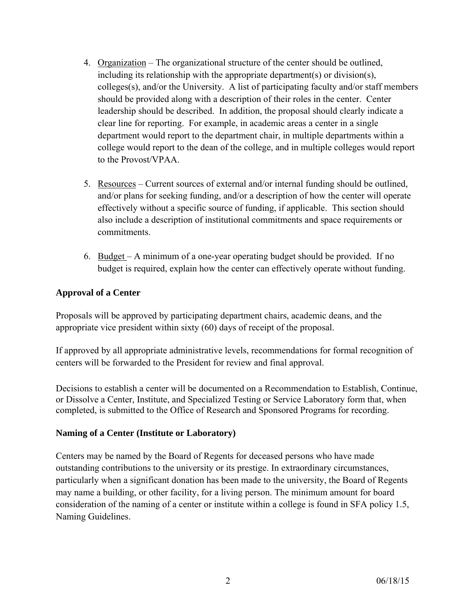- 4. Organization The organizational structure of the center should be outlined, including its relationship with the appropriate department(s) or division(s), colleges(s), and/or the University. A list of participating faculty and/or staff members should be provided along with a description of their roles in the center. Center leadership should be described. In addition, the proposal should clearly indicate a clear line for reporting. For example, in academic areas a center in a single department would report to the department chair, in multiple departments within a college would report to the dean of the college, and in multiple colleges would report to the Provost/VPAA.
- 5. Resources Current sources of external and/or internal funding should be outlined, and/or plans for seeking funding, and/or a description of how the center will operate effectively without a specific source of funding, if applicable. This section should also include a description of institutional commitments and space requirements or commitments.
- 6. Budget A minimum of a one-year operating budget should be provided. If no budget is required, explain how the center can effectively operate without funding.

# **Approval of a Center**

Proposals will be approved by participating department chairs, academic deans, and the appropriate vice president within sixty (60) days of receipt of the proposal.

If approved by all appropriate administrative levels, recommendations for formal recognition of centers will be forwarded to the President for review and final approval.

Decisions to establish a center will be documented on a Recommendation to Establish, Continue, or Dissolve a Center, Institute, and Specialized Testing or Service Laboratory form that, when completed, is submitted to the Office of Research and Sponsored Programs for recording.

# **Naming of a Center (Institute or Laboratory)**

Centers may be named by the Board of Regents for deceased persons who have made outstanding contributions to the university or its prestige. In extraordinary circumstances, particularly when a significant donation has been made to the university, the Board of Regents may name a building, or other facility, for a living person. The minimum amount for board consideration of the naming of a center or institute within a college is found in SFA policy 1.5, Naming Guidelines.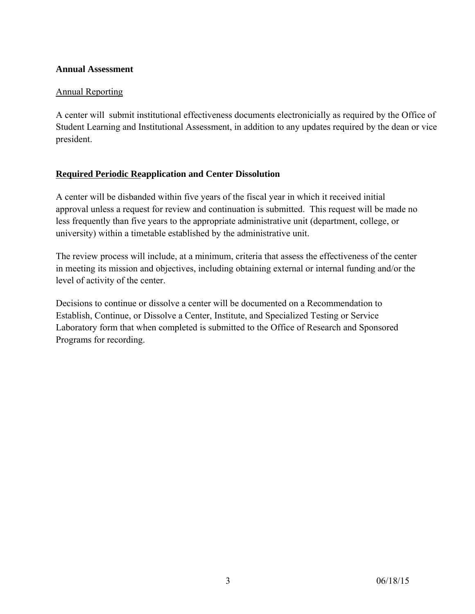#### **Annual Assessment**

#### Annual Reporting

A center will submit institutional effectiveness documents electronicially as required by the Office of Student Learning and Institutional Assessment, in addition to any updates required by the dean or vice president.

# **Required Periodic Reapplication and Center Dissolution**

A center will be disbanded within five years of the fiscal year in which it received initial approval unless a request for review and continuation is submitted. This request will be made no less frequently than five years to the appropriate administrative unit (department, college, or university) within a timetable established by the administrative unit.

The review process will include, at a minimum, criteria that assess the effectiveness of the center in meeting its mission and objectives, including obtaining external or internal funding and/or the level of activity of the center.

Decisions to continue or dissolve a center will be documented on a Recommendation to Establish, Continue, or Dissolve a Center, Institute, and Specialized Testing or Service Laboratory form that when completed is submitted to the Office of Research and Sponsored Programs for recording.